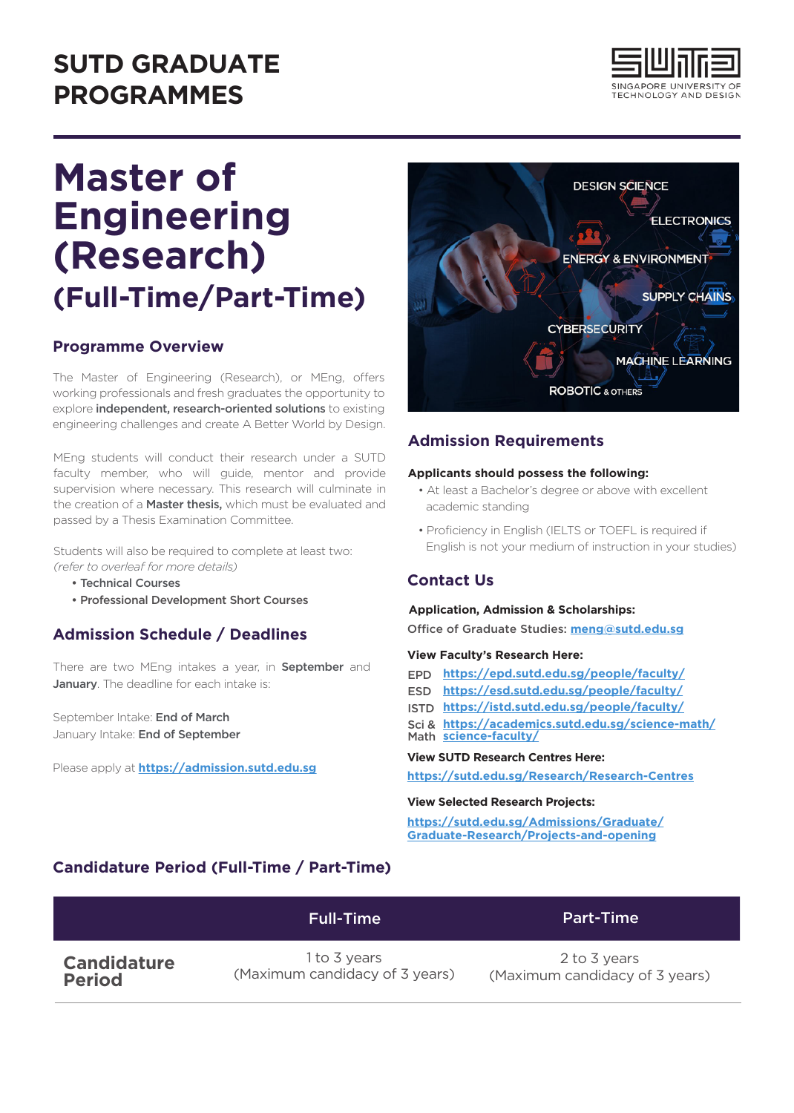## **SUTD GRADUATE PROGRAMMES**



# **Master of Engineering (Research) (Full-Time/Part-Time)**

## **Programme Overview**

The Master of Engineering (Research), or MEng, offers working professionals and fresh graduates the opportunity to explore **independent, research-oriented solutions** to existing engineering challenges and create A Better World by Design.

MEng students will conduct their research under a SUTD faculty member, who will guide, mentor and provide supervision where necessary. This research will culminate in the creation of a **Master thesis**, which must be evaluated and passed by a Thesis Examination Committee.

Students will also be required to complete at least two: *(refer to overleaf for more details)*

- Technical Courses
- Professional Development Short Courses

## **Admission Schedule / Deadlines**

There are two MEng intakes a year, in **September** and January. The deadline for each intake is:

September Intake: End of March January Intake: End of September

Please apply at **https://admission.sutd.edu.sg**



## **Admission Requirements**

#### **Applicants should possess the following:**

- At least a Bachelor's degree or above with excellent academic standing
- Proficiency in English (IELTS or TOEFL is required if English is not your medium of instruction in your studies)

## **Contact Us**

#### **Application, Admission & Scholarships:**

Office of Graduate Studies: meng@sutd.edu.sg

#### **View Faculty's Research Here:**

- **https://epd.sutd.edu.sg/people/faculty/** EPD
- **https://esd.sutd.edu.sg/people/faculty/** ESD
- **https://istd.sutd.edu.sg/people/faculty/** ISTD
- Sci & **https://academics.sutd.edu.sg/science-math/** Math **science-faculty/**

#### **View SUTD Research Centres Here:**

**https://sutd.edu.sg/Research/Research-Centres**

#### **View Selected Research Projects:**

**https://sutd.edu.sg/Admissions/Graduate/ Graduate-Research/Projects-and-opening**

## **Candidature Period (Full-Time / Part-Time)**

|                    | <b>Full-Time</b>               | <b>Part-Time</b>               |
|--------------------|--------------------------------|--------------------------------|
| <b>Candidature</b> | 1 to 3 years                   | 2 to 3 years                   |
| <b>Period</b>      | (Maximum candidacy of 3 years) | (Maximum candidacy of 3 years) |